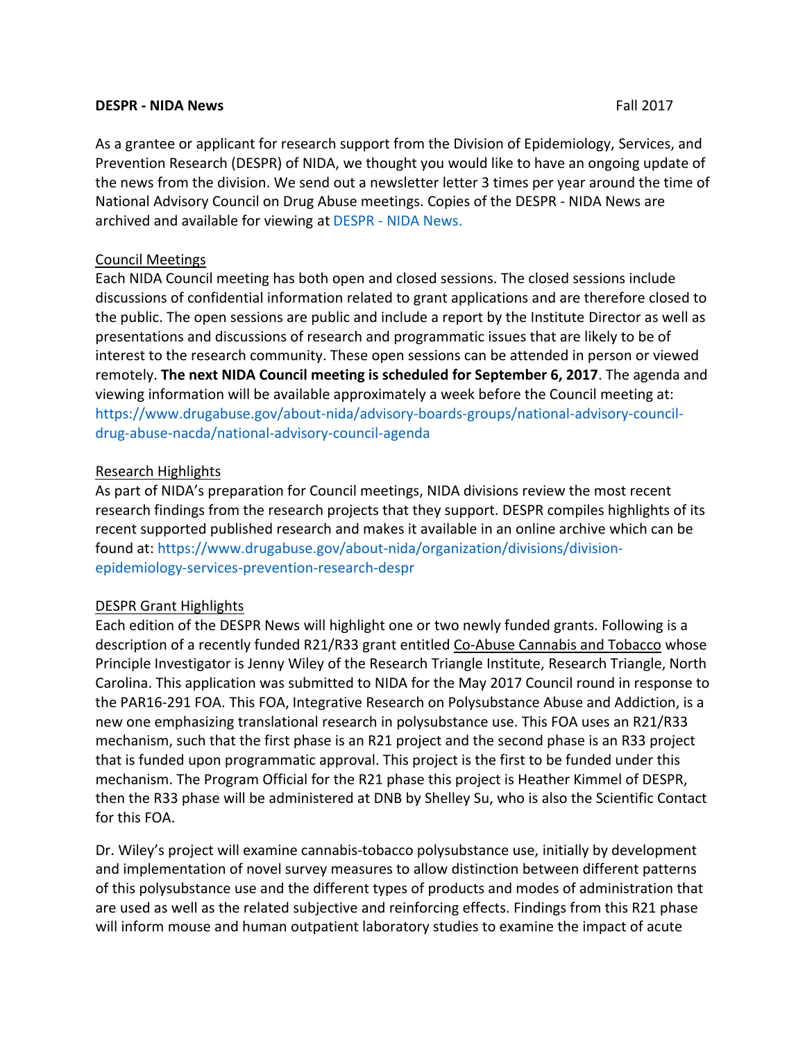#### **DESPR - NIDA News**  Fall 2017

archived and available for viewing at DESPR - NIDA News. As a grantee or applicant for research support from the Division of Epidemiology, Services, and Prevention Research (DESPR) of NIDA, we thought you would like to have an ongoing update of the news from the division. We send out a newsletter letter 3 times per year around the time of National Advisory Council on Drug Abuse meetings. Copies of the DESPR - NIDA News are

#### Council Meetings

Each NIDA Council meeting has both open and closed sessions. The closed sessions include discussions of confidential information related to grant applications and are therefore closed to the public. The open sessions are public and include a report by the Institute Director as well as presentations and discussions of research and programmatic issues that are likely to be of interest to the research community. These open sessions can be attended in person or viewed remotely. The next NIDA Council meeting is scheduled for September 6, 2017. The agenda and viewing information will be available approximately a week before the Council meeting at: https://www.drugabuse.gov/about-nida/advisory-boards-groups/national-advisory-councildrug-abuse-nacda/national-advisory-council-agenda

#### Research Highlights

As part of NIDA's preparation for Council meetings, NIDA divisions review the most recent research findings from the research projects that they support. DESPR compiles highlights of its recent supported published research and makes it available in an online archive which can be found at: https://www.drugabuse.gov/about-nida/organization/divisions/divisionepidemiology-services-prevention-research-despr

# DESPR Grant Highlights

Each edition of the DESPR News will highlight one or two newly funded grants. Following is a description of a recently funded R21/R33 grant entitled Co-Abuse Cannabis and Tobacco whose Principle Investigator is Jenny Wiley of the Research Triangle Institute, Research Triangle, North Carolina. This application was submitted to NIDA for the May 2017 Council round in response to the PAR16-291 FOA. This FOA, Integrative Research on Polysubstance Abuse and Addiction, is a new one emphasizing translational research in polysubstance use. This FOA uses an R21/R33 mechanism, such that the first phase is an R21 project and the second phase is an R33 project that is funded upon programmatic approval. This project is the first to be funded under this mechanism. The Program Official for the R21 phase this project is Heather Kimmel of DESPR, then the R33 phase will be administered at DNB by Shelley Su, who is also the Scientific Contact for this FOA.

Dr. Wiley's project will examine cannabis-tobacco polysubstance use, initially by development and implementation of novel survey measures to allow distinction between different patterns of this polysubstance use and the different types of products and modes of administration that are used as well as the related subjective and reinforcing effects. Findings from this R21 phase will inform mouse and human outpatient laboratory studies to examine the impact of acute